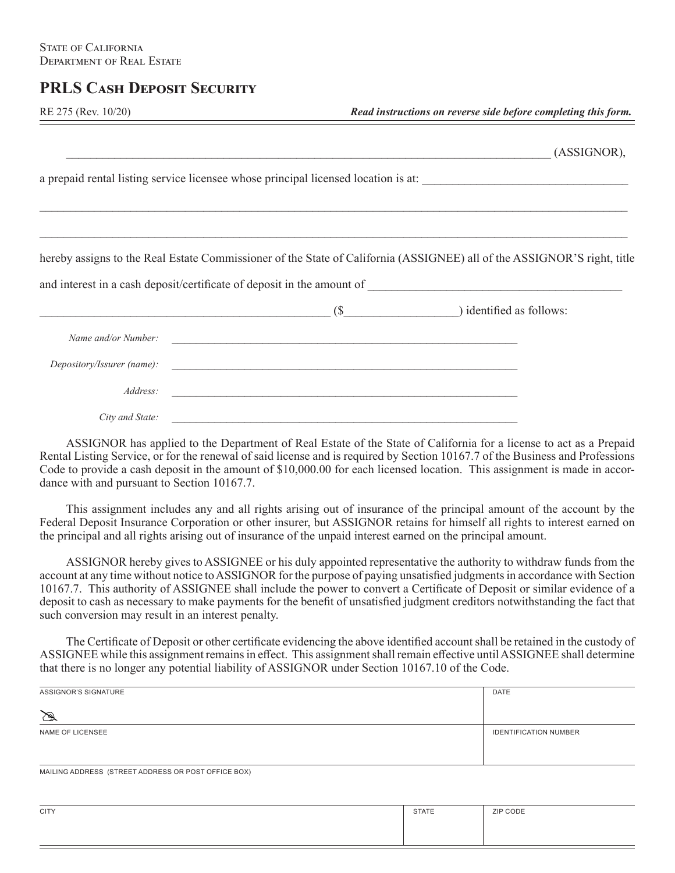## **PRLS Cash Deposit Security**

| RE 275 (Rev. 10/20) |  |
|---------------------|--|
|                     |  |

|                                   |                                                                                                                       | (ASSIGNOR),                                                                                                             |
|-----------------------------------|-----------------------------------------------------------------------------------------------------------------------|-------------------------------------------------------------------------------------------------------------------------|
|                                   |                                                                                                                       |                                                                                                                         |
|                                   |                                                                                                                       |                                                                                                                         |
|                                   |                                                                                                                       | hereby assigns to the Real Estate Commissioner of the State of California (ASSIGNEE) all of the ASSIGNOR'S right, title |
| $($ \$ $)$ identified as follows: |                                                                                                                       |                                                                                                                         |
| Name and/or Number:               |                                                                                                                       |                                                                                                                         |
|                                   |                                                                                                                       |                                                                                                                         |
| Address:                          | <u> 1989 - Jan Amerikaanse konstantinoplering van die verskap van die voorbeeld van die verskap van die verskap v</u> |                                                                                                                         |
| City and State:                   |                                                                                                                       |                                                                                                                         |

 ASSIGNOR has applied to the Department of Real Estate of the State of California for a license to act as a Prepaid Rental Listing Service, or for the renewal of said license and is required by Section 10167.7 of the Business and Professions Code to provide a cash deposit in the amount of \$10,000.00 for each licensed location. This assignment is made in accordance with and pursuant to Section 10167.7.

 This assignment includes any and all rights arising out of insurance of the principal amount of the account by the Federal Deposit Insurance Corporation or other insurer, but ASSIGNOR retains for himself all rights to interest earned on the principal and all rights arising out of insurance of the unpaid interest earned on the principal amount.

 ASSIGNOR hereby gives to ASSIGNEE or his duly appointed representative the authority to withdraw funds from the account at any time without notice to ASSIGNOR for the purpose of paying unsatisfied judgments in accordance with Section 10167.7. This authority of ASSIGNEE shall include the power to convert a Certificate of Deposit or similar evidence of a deposit to cash as necessary to make payments for the benefit of unsatisfied judgment creditors notwithstanding the fact that such conversion may result in an interest penalty.

 The Certificate of Deposit or other certificate evidencing the above identified account shall be retained in the custody of ASSIGNEE while this assignment remains in effect. This assignment shall remain effective until ASSIGNEE shall determine that there is no longer any potential liability of ASSIGNOR under Section 10167.10 of the Code.

| ASSIGNOR'S SIGNATURE | DATE                         |
|----------------------|------------------------------|
| $\mathbb{Z}$         |                              |
| NAME OF LICENSEE     | <b>IDENTIFICATION NUMBER</b> |
|                      |                              |

MAILING ADDRESS (STREET ADDRESS OR POST OFFICE BOX)

| <b>CITY</b> | <b>STATE</b> | ZIP CODE |
|-------------|--------------|----------|
|             |              |          |
|             |              |          |